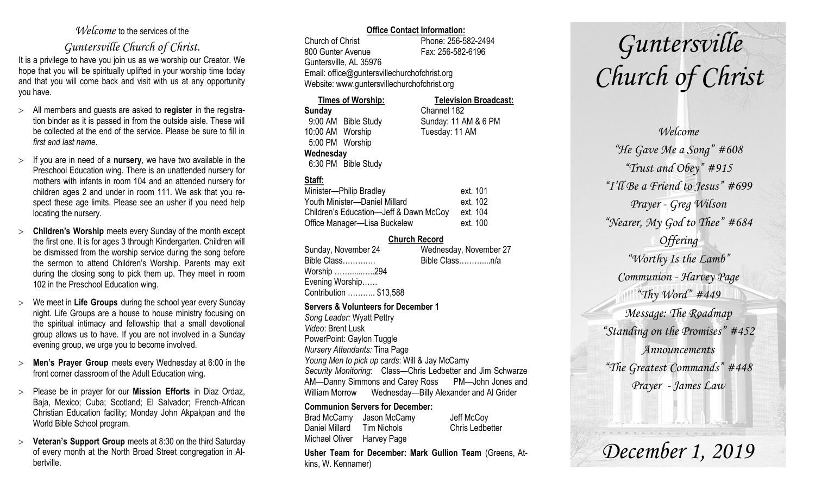#### *Welcome* to the services of the

### *Guntersville Church of Christ*.

It is a privilege to have you join us as we worship our Creator. We hope that you will be spiritually uplifted in your worship time today and that you will come back and visit with us at any opportunity you have.

- All members and guests are asked to **register** in the registration binder as it is passed in from the outside aisle. These will be collected at the end of the service. Please be sure to fill in *first and last name*.
- $\geq$  If you are in need of a **nursery**, we have two available in the Preschool Education wing. There is an unattended nursery for mothers with infants in room 104 and an attended nursery for children ages 2 and under in room 111. We ask that you respect these age limits. Please see an usher if you need help locating the nursery.
- **Children's Worship** meets every Sunday of the month except the first one. It is for ages 3 through Kindergarten. Children will be dismissed from the worship service during the song before the sermon to attend Children's Worship. Parents may exit during the closing song to pick them up. They meet in room 102 in the Preschool Education wing.
- We meet in **Life Groups** during the school year every Sunday night. Life Groups are a house to house ministry focusing on the spiritual intimacy and fellowship that a small devotional group allows us to have. If you are not involved in a Sunday evening group, we urge you to become involved.
- **Men's Prayer Group** meets every Wednesday at 6:00 in the front corner classroom of the Adult Education wing.
- Please be in prayer for our **Mission Efforts** in Diaz Ordaz, Baja, Mexico; Cuba; Scotland; El Salvador; French-African Christian Education facility; Monday John Akpakpan and the World Bible School program.
- **Veteran's Support Group** meets at 8:30 on the third Saturday of every month at the North Broad Street congregation in Albertville.

#### **Office Contact Information:**

Church of Christ Phone: 256-582-2494 800 Gunter Avenue Fax: 256-582-6196 Guntersville, AL 35976 Email: office@guntersvillechurchofchrist.org Website: www.guntersvillechurchofchrist.org

#### **Times of Worship: Television Broadcast:**

**Sunday** Channel 182 9:00 AM Bible Study Sunday: 11 AM & 6 PM 10:00 AM Worship Tuesday: 11 AM 5:00 PM Worship **Wednesday** 6:30 PM Bible Study

#### **Staff:**

| Minister-Philip Bradley                | ext. 101 |
|----------------------------------------|----------|
| Youth Minister-Daniel Millard          | ext. 102 |
| Children's Education-Jeff & Dawn McCoy | ext. 104 |
| Office Manager-Lisa Buckelew           | ext. 100 |

#### **Church Record**

| Sunday, November 24    | Wednesday, November 27 |
|------------------------|------------------------|
| Bible Class            | Bible Classn/a         |
| Worship 294            |                        |
| Evening Worship        |                        |
| Contribution  \$13,588 |                        |
|                        |                        |

**Servers & Volunteers for December 1**

*Song Leader:* Wyatt Pettry *Video*: Brent Lusk PowerPoint: Gaylon Tuggle *Nursery Attendants:* Tina Page *Young Men to pick up cards*: Will & Jay McCamy *Security Monitoring*: Class—Chris Ledbetter and Jim Schwarze AM—Danny Simmons and Carey Ross PM—John Jones and William Morrow Wednesday—Billy Alexander and Al Grider

#### **Communion Servers for December:**

Brad McCamy Jason McCamy Jeff McCoy Daniel Millard Tim Nichols Chris Ledbetter Michael Oliver Harvey Page

**Usher Team for December: Mark Gullion Team** (Greens, Atkins, W. Kennamer)

# *Guntersville Church of Christ*

*Welcome "He Gave Me a Song" #608 "Trust and Obey" #915 "I'll Be a Friend to Jesus" #699 Prayer - Greg Wilson "Nearer, My God to Thee" #684 Offering "Worthy Is the Lamb" Communion - Harvey Page "Thy Word" #449 Message: The Roadmap "Standing on the Promises" #452 Announcements "The Greatest Commands" #448 Prayer - James Law*

*December 1, 2019*